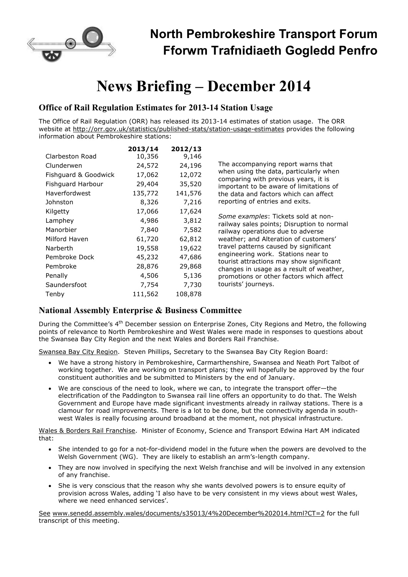

## **North Pembrokeshire Transport Forum Fforwm Trafnidiaeth Gogledd Penfro**

# **News Briefing – December 2014**

#### **Office of Rail Regulation Estimates for 2013-14 Station Usage**

The Office of Rail Regulation (ORR) has released its 2013-14 estimates of station usage. The ORR website at http://orr.gov.uk/statistics/published-stats/station-usage-estimates provides the following information about Pembrokeshire stations:

|                      | 2013/14 | 2012/13 |
|----------------------|---------|---------|
| Clarbeston Road      | 10,356  | 9,146   |
| Clunderwen           | 24,572  | 24,196  |
| Fishguard & Goodwick | 17,062  | 12,072  |
| Fishguard Harbour    | 29,404  | 35,520  |
| Haverfordwest        | 135,772 | 141,576 |
| Johnston             | 8,326   | 7,216   |
| Kilgetty             | 17,066  | 17,624  |
| Lamphey              | 4,986   | 3,812   |
| Manorbier            | 7,840   | 7,582   |
| Milford Haven        | 61,720  | 62,812  |
| Narberth             | 19,558  | 19,622  |
| Pembroke Dock        | 45,232  | 47,686  |
| Pembroke             | 28,876  | 29,868  |
| Penally              | 4,506   | 5,136   |
| Saundersfoot         | 7,754   | 7,730   |
| Tenby                | 111,562 | 108,878 |

The accompanying report warns that when using the data, particularly when comparing with previous years, it is important to be aware of limitations of the data and factors which can affect reporting of entries and exits.

*Some examples*: Tickets sold at nonrailway sales points; Disruption to normal railway operations due to adverse weather; and Alteration of customers' travel patterns caused by significant engineering work. Stations near to tourist attractions may show significant changes in usage as a result of weather, promotions or other factors which affect tourists' journeys.

#### **National Assembly Enterprise & Business Committee**

During the Committee's 4<sup>th</sup> December session on Enterprise Zones, City Regions and Metro, the following points of relevance to North Pembrokeshire and West Wales were made in responses to questions about the Swansea Bay City Region and the next Wales and Borders Rail Franchise.

Swansea Bay City Region. Steven Phillips, Secretary to the Swansea Bay City Region Board:

- We have a strong history in Pembrokeshire, Carmarthenshire, Swansea and Neath Port Talbot of working together. We are working on transport plans; they will hopefully be approved by the four constituent authorities and be submitted to Ministers by the end of January.
- We are conscious of the need to look, where we can, to integrate the transport offer—the electrification of the Paddington to Swansea rail line offers an opportunity to do that. The Welsh Government and Europe have made significant investments already in railway stations. There is a clamour for road improvements. There is a lot to be done, but the connectivity agenda in southwest Wales is really focusing around broadband at the moment, not physical infrastructure.

Wales & Borders Rail Franchise. Minister of Economy, Science and Transport Edwina Hart AM indicated that:

- She intended to go for a not-for-dividend model in the future when the powers are devolved to the Welsh Government (WG). They are likely to establish an arm's-length company.
- They are now involved in specifying the next Welsh franchise and will be involved in any extension of any franchise.
- She is very conscious that the reason why she wants devolved powers is to ensure equity of provision across Wales, adding 'I also have to be very consistent in my views about west Wales, where we need enhanced services'.

See www.senedd.assembly.wales/documents/s35013/4%20December%202014.html?CT=2 for the full transcript of this meeting.